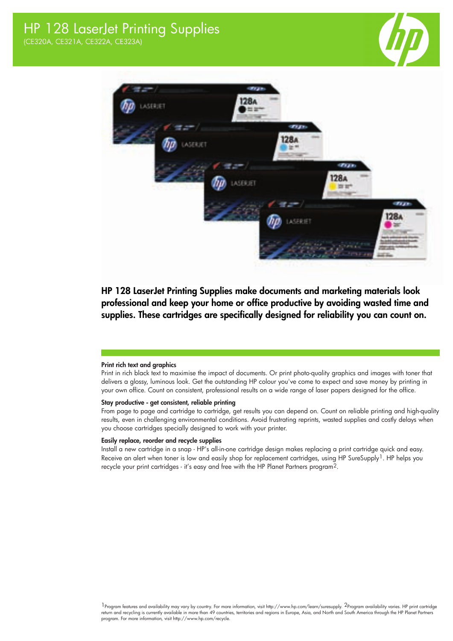



HP 128 LaserJet Printing Supplies make documents and marketing materials look professional and keep your home or office productive by avoiding wasted time and supplies. These cartridges are specifically designed for reliability you can count on.

## Print rich text and graphics

Print in rich black text to maximise the impact of documents. Or print photo-quality graphics and images with toner that delivers a glossy, luminous look. Get the outstanding HP colour you've come to expect and save money by printing in your own office. Count on consistent, professional results on a wide range of laser papers designed for the office.

## Stay productive - get consistent, reliable printing

From page to page and cartridge to cartridge, get results you can depend on. Count on reliable printing and high-quality results, even in challenging environmental conditions. Avoid frustrating reprints, wasted supplies and costly delays when you choose cartridges specially designed to work with your printer.

## Easily replace, reorder and recycle supplies

Install a new cartridge in a snap - HP's all-in-one cartridge design makes replacing a print cartridge quick and easy. Receive an alert when toner is low and easily shop for replacement cartridges, using HP SureSupply<sup>1</sup>. HP helps you recycle your print cartridges - it's easy and free with the HP Planet Partners program2.